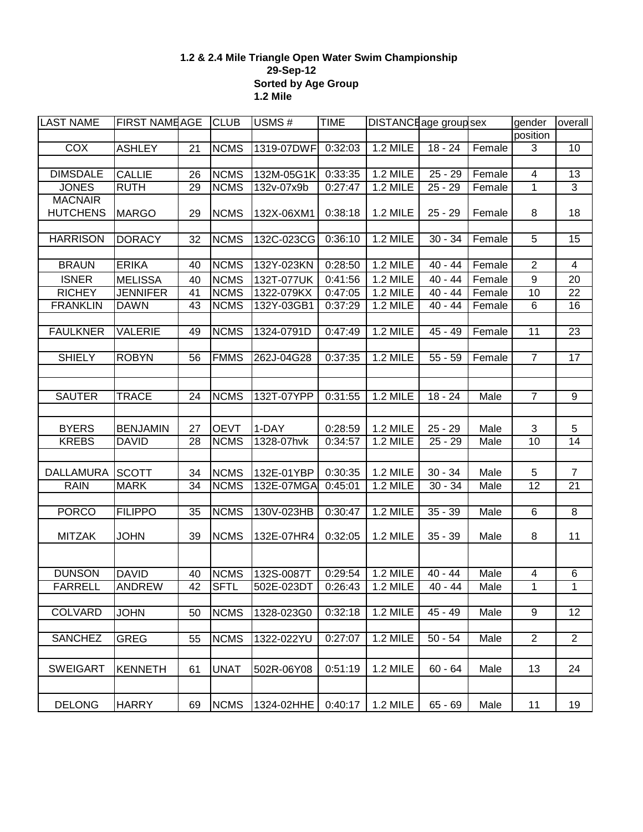## **1.2 & 2.4 Mile Triangle Open Water Swim Championship 29-Sep-12 Sorted by Age Group 1.2 Mile**

| <b>LAST NAME</b> | <b>FIRST NAMEAGE</b> |    | <b>CLUB</b> | $\overline{USMS}$ #                 | <b>TIME</b> | DISTANCE age group sex |           |        | gender           | overall        |
|------------------|----------------------|----|-------------|-------------------------------------|-------------|------------------------|-----------|--------|------------------|----------------|
|                  |                      |    |             |                                     |             |                        |           |        | position         |                |
| <b>COX</b>       | <b>ASHLEY</b>        | 21 | <b>NCMS</b> | 1319-07DWF                          | 0:32:03     | 1.2 MILE               | $18 - 24$ | Female | 3                | 10             |
|                  |                      |    |             |                                     |             |                        |           |        |                  |                |
| <b>DIMSDALE</b>  | <b>CALLIE</b>        | 26 | <b>NCMS</b> | 132M-05G1K                          | 0:33:35     | <b>1.2 MILE</b>        | $25 - 29$ | Female | 4                | 13             |
| <b>JONES</b>     | <b>RUTH</b>          | 29 | <b>NCMS</b> | 132v-07x9b                          | 0:27:47     | <b>1.2 MILE</b>        | $25 - 29$ | Female | $\mathbf{1}$     | $\overline{3}$ |
| <b>MACNAIR</b>   |                      |    |             |                                     |             |                        |           |        |                  |                |
| <b>HUTCHENS</b>  | <b>MARGO</b>         | 29 | <b>NCMS</b> | 132X-06XM1                          | 0:38:18     | <b>1.2 MILE</b>        | $25 - 29$ | Female | 8                | 18             |
|                  |                      |    |             |                                     |             |                        |           |        |                  |                |
| <b>HARRISON</b>  | <b>DORACY</b>        | 32 | <b>NCMS</b> | 132C-023CG                          | 0:36:10     | <b>1.2 MILE</b>        | $30 - 34$ | Female | $\overline{5}$   | 15             |
|                  |                      |    |             |                                     |             |                        |           |        |                  |                |
| <b>BRAUN</b>     | <b>ERIKA</b>         | 40 | <b>NCMS</b> | 132Y-023KN                          | 0:28:50     | <b>1.2 MILE</b>        | $40 - 44$ | Female | $\overline{2}$   | $\overline{4}$ |
| <b>ISNER</b>     | <b>MELISSA</b>       | 40 | <b>NCMS</b> | 132T-077UK                          | 0:41:56     | <b>1.2 MILE</b>        | $40 - 44$ | Female | $\boldsymbol{9}$ | 20             |
| <b>RICHEY</b>    | <b>JENNIFER</b>      | 41 | <b>NCMS</b> | 1322-079KX                          | 0:47:05     | <b>1.2 MILE</b>        | $40 - 44$ | Female | 10               | 22             |
| <b>FRANKLIN</b>  | <b>DAWN</b>          | 43 | <b>NCMS</b> | 132Y-03GB1                          | 0:37:29     | <b>1.2 MILE</b>        | $40 - 44$ | Female | $\,6$            | 16             |
|                  |                      |    |             |                                     |             |                        |           |        |                  |                |
| <b>FAULKNER</b>  | <b>VALERIE</b>       | 49 | <b>NCMS</b> | 1324-0791D                          | 0:47:49     | <b>1.2 MILE</b>        | $45 - 49$ | Female | 11               | 23             |
|                  |                      |    |             |                                     |             |                        |           |        |                  |                |
| <b>SHIELY</b>    | <b>ROBYN</b>         | 56 | <b>FMMS</b> | 262J-04G28                          | 0:37:35     | <b>1.2 MILE</b>        | $55 - 59$ | Female | $\overline{7}$   | 17             |
|                  |                      |    |             |                                     |             |                        |           |        |                  |                |
|                  |                      |    |             |                                     |             |                        |           |        |                  |                |
| <b>SAUTER</b>    | <b>TRACE</b>         | 24 | <b>NCMS</b> | 132T-07YPP                          | 0:31:55     | <b>1.2 MILE</b>        | $18 - 24$ | Male   | $\overline{7}$   | $\overline{9}$ |
|                  |                      |    |             |                                     |             |                        |           |        |                  |                |
| <b>BYERS</b>     | <b>BENJAMIN</b>      | 27 | <b>OEVT</b> | 1-DAY                               | 0:28:59     | <b>1.2 MILE</b>        | $25 - 29$ | Male   | 3                | 5              |
| <b>KREBS</b>     | <b>DAVID</b>         | 28 | <b>NCMS</b> | 1328-07hvk                          | 0:34:57     | <b>1.2 MILE</b>        | $25 - 29$ | Male   | $\overline{10}$  | 14             |
|                  |                      |    |             |                                     |             |                        |           |        |                  |                |
|                  |                      |    |             |                                     |             |                        |           |        |                  |                |
| <b>DALLAMURA</b> | <b>SCOTT</b>         | 34 | <b>NCMS</b> | 132E-01YBP                          | 0:30:35     | <b>1.2 MILE</b>        | $30 - 34$ | Male   | 5                | $\overline{7}$ |
| <b>RAIN</b>      | <b>MARK</b>          | 34 | <b>NCMS</b> | 132E-07MGA                          | 0:45:01     | <b>1.2 MILE</b>        | $30 - 34$ | Male   | $\overline{12}$  | 21             |
|                  |                      |    |             |                                     |             |                        |           |        |                  |                |
| <b>PORCO</b>     | <b>FILIPPO</b>       | 35 | <b>NCMS</b> | 130V-023HB                          | 0:30:47     | <b>1.2 MILE</b>        | $35 - 39$ | Male   | $\overline{6}$   | $\overline{8}$ |
|                  |                      |    |             |                                     |             |                        |           |        |                  |                |
| <b>MITZAK</b>    | <b>JOHN</b>          | 39 | <b>NCMS</b> | 132E-07HR4                          | 0:32:05     | <b>1.2 MILE</b>        | $35 - 39$ | Male   | 8                | 11             |
|                  |                      |    |             |                                     |             |                        |           |        |                  |                |
| <b>DUNSON</b>    | <b>DAVID</b>         | 40 | <b>NCMS</b> | 132S-0087T                          | 0:29:54     | <b>1.2 MILE</b>        | $40 - 44$ | Male   | 4                | 6              |
| FARRELL          | <b>ANDREW</b>        | 42 | <b>SFTL</b> | 502E-023DT 0:26:43 1.2 MILE 40 - 44 |             |                        |           | Male   | $\overline{1}$   | $\overline{1}$ |
|                  |                      |    |             |                                     |             |                        |           |        |                  |                |
| <b>COLVARD</b>   | <b>JOHN</b>          | 50 | <b>NCMS</b> | 1328-023G0                          | 0:32:18     | <b>1.2 MILE</b>        | $45 - 49$ | Male   | $\overline{9}$   | 12             |
|                  |                      |    |             |                                     |             |                        |           |        |                  |                |
| <b>SANCHEZ</b>   | <b>GREG</b>          | 55 | <b>NCMS</b> | 1322-022YU                          | 0:27:07     | 1.2 MILE               | $50 - 54$ | Male   | $\overline{c}$   | $\overline{2}$ |
|                  |                      |    |             |                                     |             |                        |           |        |                  |                |
|                  |                      |    |             |                                     |             |                        |           |        |                  |                |
| <b>SWEIGART</b>  | <b>KENNETH</b>       | 61 | <b>UNAT</b> | 502R-06Y08                          | 0:51:19     | <b>1.2 MILE</b>        | $60 - 64$ | Male   | 13               | 24             |
|                  |                      |    |             |                                     |             |                        |           |        |                  |                |
| <b>DELONG</b>    |                      |    |             |                                     | 0:40:17     |                        |           | Male   |                  |                |
|                  | <b>HARRY</b>         | 69 | <b>NCMS</b> | 1324-02HHE                          |             | 1.2 MILE               | $65 - 69$ |        | 11               | 19             |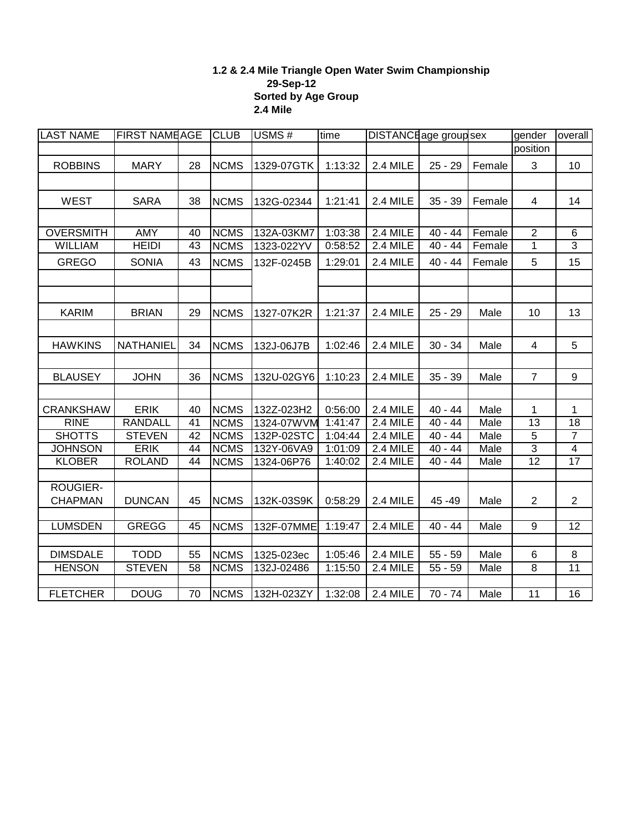## **1.2 & 2.4 Mile Triangle Open Water Swim Championship 29-Sep-12 Sorted by Age Group 2.4 Mile**

| <b>LAST NAME</b> | <b>FIRST NAMEAGE</b> |                 | <b>CLUB</b> | USMS#<br>time |         | DISTANCE age group sex |           |             | gender          | overall         |
|------------------|----------------------|-----------------|-------------|---------------|---------|------------------------|-----------|-------------|-----------------|-----------------|
|                  |                      |                 |             |               |         |                        |           |             | position        |                 |
| <b>ROBBINS</b>   | <b>MARY</b>          | 28              | <b>NCMS</b> | 1329-07GTK    | 1:13:32 | 2.4 MILE               | $25 - 29$ | Female      | 3               | 10              |
|                  |                      |                 |             |               |         |                        |           |             |                 |                 |
| <b>WEST</b>      | <b>SARA</b>          | 38              | <b>NCMS</b> | 132G-02344    | 1:21:41 | 2.4 MILE               | $35 - 39$ | Female      | $\overline{4}$  | 14              |
|                  |                      |                 |             |               |         |                        |           |             |                 |                 |
|                  |                      |                 |             |               |         |                        |           |             |                 |                 |
| <b>OVERSMITH</b> | AMY                  | 40              | <b>NCMS</b> | 132A-03KM7    | 1:03:38 | 2.4 MILE               | $40 - 44$ | Female      | $\overline{2}$  | 6               |
| <b>WILLIAM</b>   | <b>HEIDI</b>         | 43              | <b>NCMS</b> | 1323-022YV    | 0:58:52 | 2.4 MILE               | $40 - 44$ | Female      | $\overline{1}$  | $\overline{3}$  |
| <b>GREGO</b>     | <b>SONIA</b>         | 43              | <b>NCMS</b> | 132F-0245B    | 1:29:01 | 2.4 MILE               | $40 - 44$ | Female      | 5               | 15              |
|                  |                      |                 |             |               |         |                        |           |             |                 |                 |
|                  |                      |                 |             |               |         |                        |           |             |                 |                 |
| <b>KARIM</b>     | <b>BRIAN</b>         | 29              | <b>NCMS</b> | 1327-07K2R    | 1:21:37 | 2.4 MILE               | $25 - 29$ | Male        | 10              | 13              |
|                  |                      |                 |             |               |         |                        |           |             |                 |                 |
| <b>HAWKINS</b>   | <b>NATHANIEL</b>     | 34              | <b>NCMS</b> | 132J-06J7B    | 1:02:46 | 2.4 MILE               | $30 - 34$ | Male        | $\overline{4}$  | 5               |
|                  |                      |                 |             |               |         |                        |           |             |                 |                 |
| <b>BLAUSEY</b>   | <b>JOHN</b>          | 36              | <b>NCMS</b> | 132U-02GY6    | 1:10:23 | 2.4 MILE               | $35 - 39$ | Male        | $\overline{7}$  | 9               |
|                  |                      |                 |             |               |         |                        |           |             |                 |                 |
| <b>CRANKSHAW</b> | <b>ERIK</b>          | 40              | <b>NCMS</b> | 132Z-023H2    | 0:56:00 | 2.4 MILE               | $40 - 44$ | Male        | $\mathbf{1}$    | 1               |
| <b>RINE</b>      | <b>RANDALL</b>       | 41              | <b>NCMS</b> | 1324-07WVM    | 1:41:47 | 2.4 MILE               | $40 - 44$ | <b>Male</b> | $\overline{13}$ | 18              |
| <b>SHOTTS</b>    | <b>STEVEN</b>        | 42              | <b>NCMS</b> | 132P-02STC    | 1:04:44 | 2.4 MILE               | $40 - 44$ | Male        | $\overline{5}$  | $\overline{7}$  |
| <b>JOHNSON</b>   | <b>ERIK</b>          | 44              | <b>NCMS</b> | 132Y-06VA9    | 1:01:09 | 2.4 MILE               | $40 - 44$ | Male        | $\overline{3}$  | $\overline{4}$  |
| <b>KLOBER</b>    | <b>ROLAND</b>        | 44              | <b>NCMS</b> | 1324-06P76    | 1:40:02 | 2.4 MILE               | $40 - 44$ | Male        | $\overline{12}$ | $\overline{17}$ |
|                  |                      |                 |             |               |         |                        |           |             |                 |                 |
| <b>ROUGIER-</b>  |                      |                 |             |               |         |                        |           |             |                 |                 |
| <b>CHAPMAN</b>   | <b>DUNCAN</b>        | 45              | <b>NCMS</b> | 132K-03S9K    | 0:58:29 | 2.4 MILE               | 45 - 49   | Male        | $\overline{2}$  | $\overline{2}$  |
|                  |                      |                 |             |               |         |                        |           |             |                 |                 |
| <b>LUMSDEN</b>   | <b>GREGG</b>         | 45              | <b>NCMS</b> | 132F-07MME    | 1:19:47 | 2.4 MILE               | $40 - 44$ | Male        | $\overline{9}$  | $\overline{12}$ |
|                  |                      |                 |             |               |         |                        |           |             |                 |                 |
| <b>DIMSDALE</b>  | <b>TODD</b>          | 55              | <b>NCMS</b> | 1325-023ec    | 1:05:46 | 2.4 MILE               | $55 - 59$ | Male        | 6               | 8               |
| <b>HENSON</b>    | <b>STEVEN</b>        | 58              | <b>NCMS</b> | 132J-02486    | 1:15:50 | 2.4 MILE               | $55 - 59$ | Male        | 8               | 11              |
| <b>FLETCHER</b>  | <b>DOUG</b>          | $\overline{70}$ | <b>NCMS</b> | 132H-023ZY    | 1:32:08 | 2.4 MILE               | $70 - 74$ | <b>Male</b> | $\overline{11}$ | $\overline{16}$ |
|                  |                      |                 |             |               |         |                        |           |             |                 |                 |